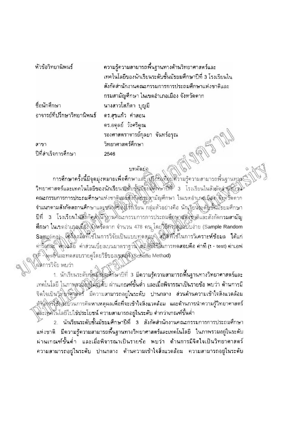หัวข้อวิทยานิพนธ์

ชื่อนักศึกษา

สาขา

ปีที่สำเร็จการศึกษา

อาจารย์ที่ปรึกษาวิทยานิพนธ์

ความรู้ความสามารถพื้นฐานทางด้านวิทยาศาสตร์และ เทคโนโลยีของนักเรียนระดับชั้นมัธยมศึกษาปีที่ 3 โรงเรียนใน สังกัดสำนักงานคณะกรรมการการประถมศึกษาแห่งชาติและ กรมสามัญศึกษา ในเขตอำเภอเมือง จังหวัดตาก ้นางสาวโสภิดา บุญมี ดร.สุขแก้ว คำสอน ดร.อดุลย์ วังศรีภูณ รองศาสตราจารย์กุลยา จันทร์อรุณ JAMARY วิทยาศาสตร์ศึกษา 2546

## บทคัดย่อ

การศึกษาครั้งนี้มีจุดมุ่งหมายเพื่อศึกษาแล<u>้ะ แก้รัยน</u>ิเทียบศึวามรู้ความสามารถพื้นฐานทุลม วิทยาศาสตร์และเทคโนโลยีของนักเรียนชาติบารันมั่งยมศึกษาปีที่ 3 โรงเรียนในสังภัคสำหังมีท ดณะกรรมการการประถมศึกษาแห่งชาติและสั่งกัดชรมดามัญศึกษา ในเขตอำเภสเมือง จึงหวัดตาก จำแนกตามสังกัดสถานศึกษาและชนิงตั้งดินให้ที่เรียน กลุ่มตัวอย่างคือ นักเรียนโระดิษชั้นมัธยมศึกษา ปีที่ 3 โรงเรียนในสีอีกคลังนักงานคณะกรรมการการประถมศึกษาสหังชิงติและสังกัดกรมสามัญ ทึกษา ในเขตอำเภอเมือง จังหวัดตาก จำนวน 478 คน โดยวิธีการสู้มหับบง่าย (Sample Random Sampling) เอรี่ยงมือที่ใช่ในการวิจัยเป็นแบบทุคสุญที่ สติดที่ใช้ในการวิเคราะห์ข้อมล ได้แก่ ค่ารัตย์ดะ สิกโนสัย ค่าส่วนเบี่ยงเบนมาตราฐาน สถิติเสียนี้ในการทดสอบคือ ค่าที (t - test) ค่าเอฟ RE- โest) และทดสอบรายคู่โดยวิธีของเชพเฟิง Scheffe Method)

ุผลการวิจัย พบว่า

1. นักเรียนระดับซุ้<del>น</del>มีอัยมศึกษาปีที่ 3 มีความรู้ความสามารถ**พื้น**ฐานทางวิทยาศาสตร์และ เทคโนโลยี ในภาพุรามีอยู่ในธุ์รู้ดับ ผ่านเกณฑ์ขั้นต่ำ และเมื่อพิจารณาเป็นรายข้อ พบว่า ด้านการมี จิตใจเป็นวิทิมาศีวัติศักริ์ มีความสามารถอยู่ในระดับ ปานกลาง ส่วนด้านความเข้าใจสิ่งแวดล้อม ดู้ฯันโอร์โซ้ันระบวนการคิดหาเหตุผลเพื่อที่จะเข้าใจสิ่งแวดล้อม และด้านการนำความรู้วิทยาศาสตร์ งค์ะโหค่ไนโลยีไปใช้ประโยชน์ ความสามารถอยู่ในระดับ ต่ำกว่าเกณฑ์ขั้นต่ำ

2. นักเรียนระดับชั้นมัธยมศึกษาปีที่ 3 สังกัดสำนักงานคณะกรรมการการประถมศึกษา ้แห่งชาติ มีความรู้ความสามารถพื้นฐานทางวิทยาศาสตร์และเทคโนโลยี ในภาพรวมอยู่ในระดับ ผ่านเกณฑ์ขั้นดำ และเมื่อพิจารณาเป็นรายข้อ พบว่า ด้านการมีจิดใจเป็นวิทยาศาสตร์ ความสามารถอยู่ในระดับ ปานกลาง ต้านความเข้าใจสิ่งแวดล้อม ความสามารถอยู่ในระดับ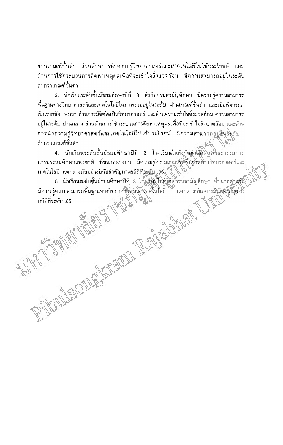้ผ่านเกณฑ์ขั้นด่ำ ส่วนด้านการนำความรู้วิทยาศาสตร์และเทคโนโลยีไปใช้ประโยชน์ และ ด้านการใช้กระบวนการคิดหาเหตุผลเพื่อที่จะเข้าใจสิ่งแวดล้อม มีความสามารถอยู่ในระดับ ดำกว่าเกณฑ์ขั้นดำ

3. นักเรียนระดับชั้นมัธยมศึกษาปีที่ 3 สังกัดกรมสามัญศึกษา มีความรู้ความสามารถ พื้นฐานทางวิทยาศาสตร์และเทคโนโลยีในภาพรวมอยู่ในระดับ ผ่านเกณฑ์ขั้นต่ำ และเมื่อพิจารณา เป็นรายข้อ พบว่า ต้านการมีจิตใจเป็นวิทยาศาสตร์ และด้านความเข้าใจสิ่งแวดล้อม ความสามารถ ้อยู่ในระดับ ปานกลาง ส่วนด้านการใช้กระบวนการคิดหาเหตุผลเพื่อที่จะเข้าใจสิ่งแวดล้อม และด้าน การนำความรู้วิทยาศาสตร์และเทคโนโลยีไปใช้ประโยชน์ มีความสามารถอยู่สินชิงตับ ต่ำกว่าเกณฑ์ขั้นต่ำ

4. นักเรียนระดับชั้นมัธยมศึกษาปีที่ 3 โรงเรียนในสังกัดสำนักโปเศิณะกรรมการ การประถมศึกษาแห่งชาติ ที่ขนาดต่างกัน มีความรู้ความสามชัดพื้นรู้ในทางวิทยาศาสตร์และ เทคโนโลยี แตกต่างกันอย่างมีนัยสำคัญทางสถิติที่ระดับ 05\

5. นักเรียนระดับชั้นมัธยมศึกษาปีที่ 3 โรงเงือนในสมดุตกรมสามัญศึกษา ที่ขนาดต่างก็นั มีความรู้ความสามารถพื้นฐานทางวิทยาศาสตร์และโทคในโลยี แตกต่างกันอย่างมีนัยสำคัญทั่ว สถิติที่ระดับ 05 TAMLE RAND CAR CAR

AND CONTROLL

MEOD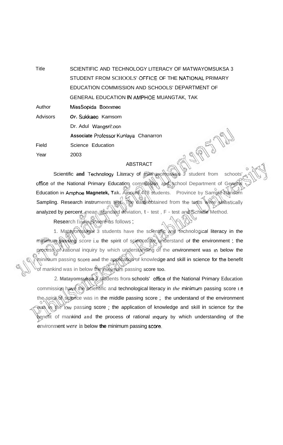Title SCIENTIFIC AND TECHNOLOGY LITERACY OF MATWAYOMSUKSA 3 STUDENT FROM SCHOOLS' OFFICE OF THE **NATiONAL** PRIMARY EDUCATION COMMISSION AND SCHOOLS' DEPARTMENT OF GENERAL EDUCATION **IN AMPHOE** MUANGTAK, TAK Author **MissSopida** Boonrnee Advisors **Or. Sukkaeo** Kamsom Dr. Adul Wangsri!:oon **Associate** Professor Kunlaya Chanarron Field Science Education Year 2003

## ABSTRACT

Scientific and Technology Literacy of mathayomsuksa 3 student from schoots office of the National Primary Education commission and school Department of General Education in Amphoe Magnetek, Tak. Amount 478 students. Province by Sample Random Sampling. Research instruments test. The data obtained from the tests were statistically analyzed by percent, mean, standard deviation, t - test, F - test and Scheffe Method.

Research findings were as follows;

1. Matayomsuksa 3 students have the scientific and technological literacy in the minimum **passing** score i.e **the spirit** of science the understand of the environment ; the process of rational inquiry by which understanding of the environment was In below the minimum passing **srnre and** the application of knowledge and skill in science for tbe benefit of mankind was in below the minirium passing score too.

2. **Matayomsuksa** 3 students from schools' **office** of the National Primary Education commission have the scientific and technological literacy in *the* minimum passing score 1.e the spirit of science was in the middle passing score; the understand of the environment was in the low passing score; the application of knowledge and skill in science for the benefit of mankind and the process of rational lnqulry by which understanding of the environment *were* in below **the** minimum passing score.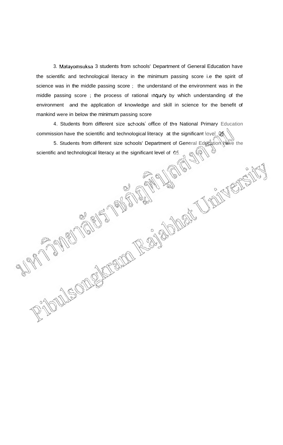3. Matayornsuksa 3 students from schools' Department of General Education have the scientific and technological literacy in the minimum passing score i.e the spirit of science was in the middle passing score; the understand of the environment was in the middle passing score ; the process of rational mquiry by which understanding of the environment and the application of knowledge and skill in science for the benefit of mankind were in below the minimum passing score

4. Students from different size schools' office of the National Primary Education commission have the scientific and technological literacy at the significant level .05

5. Students from different size schools' Department of General Education have the scientific and technological literacy at the significant level of **05.**